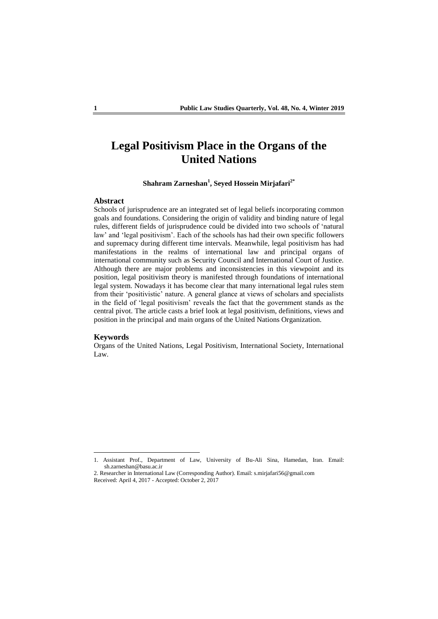# **Legal Positivism Place in the Organs of the United Nations**

## **Shahram Zarneshan<sup>1</sup> , Seyed Hossein Mirjafari2\***

## **Abstract**

Schools of jurisprudence are an integrated set of legal beliefs incorporating common goals and foundations. Considering the origin of validity and binding nature of legal rules, different fields of jurisprudence could be divided into two schools of 'natural law' and 'legal positivism'. Each of the schools has had their own specific followers and supremacy during different time intervals. Meanwhile, legal positivism has had manifestations in the realms of international law and principal organs of international community such as Security Council and International Court of Justice. Although there are major problems and inconsistencies in this viewpoint and its position, legal positivism theory is manifested through foundations of international legal system. Nowadays it has become clear that many international legal rules stem from their 'positivistic' nature. A general glance at views of scholars and specialists in the field of 'legal positivism' reveals the fact that the government stands as the central pivot. The article casts a brief look at legal positivism, definitions, views and position in the principal and main organs of the United Nations Organization.

#### **Keywords**

**.** 

Organs of the United Nations, Legal Positivism, International Society, International Law.

2. Researcher in International Law (Corresponding Author). Email: s.mirjafari56@gmail.com Received: April 4, 2017 - Accepted: October 2, 2017

<sup>1.</sup> Assistant Prof., Department of Law, University of Bu-Ali Sina, Hamedan, Iran. Email: sh.zarneshan@basu.ac.ir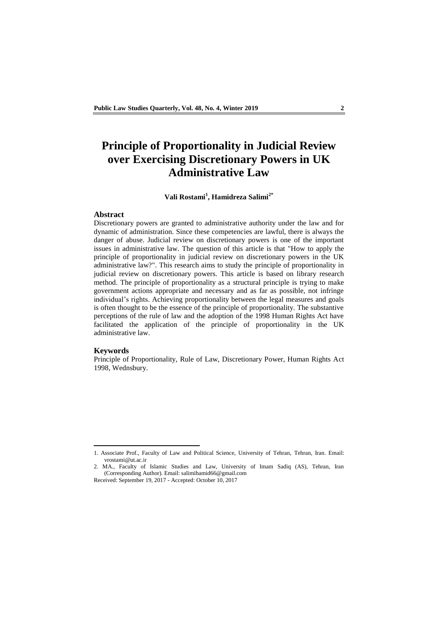# **Principle of Proportionality in Judicial Review over Exercising Discretionary Powers in UK Administrative Law**

## **Vali Rostami<sup>1</sup> , Hamidreza Salimi2\***

### **Abstract**

Discretionary powers are granted to administrative authority under the law and for dynamic of administration. Since these competencies are lawful, there is always the danger of abuse. Judicial review on discretionary powers is one of the important issues in administrative law. The question of this article is that "How to apply the principle of proportionality in judicial review on discretionary powers in the UK administrative law?". This research aims to study the principle of proportionality in judicial review on discretionary powers. This article is based on library research method. The principle of proportionality as a structural principle is trying to make government actions appropriate and necessary and as far as possible, not infringe individual's rights. Achieving proportionality between the legal measures and goals is often thought to be the essence of the principle of proportionality. The substantive perceptions of the rule of law and the adoption of the 1998 Human Rights Act have facilitated the application of the principle of proportionality in the UK administrative law.

#### **Keywords**

1

Principle of Proportionality, Rule of Law, Discretionary Power, Human Rights Act 1998, Wednsbury.

<sup>1.</sup> Associate Prof., Faculty of Law and Political Science, University of Tehran, Tehran, Iran. Email: vrostami@ut.ac.ir

<sup>2.</sup> MA., Faculty of Islamic Studies and Law, University of Imam Sadiq (AS), Tehran, Iran (Corresponding Author). Email: salimihamid66@gmail.com

Received: September 19, 2017 - Accepted: October 10, 2017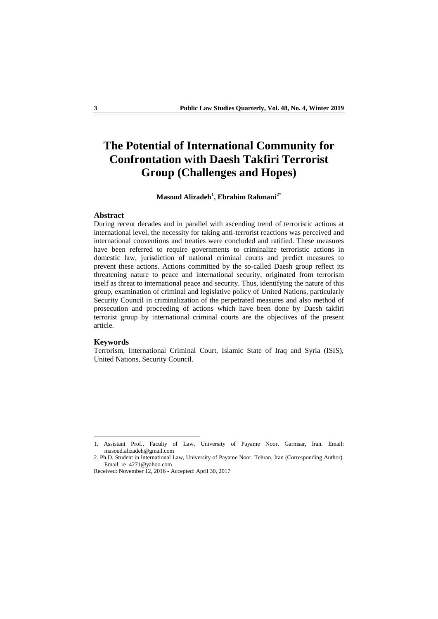# **The Potential of International Community for Confrontation with Daesh Takfiri Terrorist Group (Challenges and Hopes)**

## **Masoud Alizadeh<sup>1</sup> , Ebrahim Rahmani2\***

#### **Abstract**

During recent decades and in parallel with ascending trend of terroristic actions at international level, the necessity for taking anti-terrorist reactions was perceived and international conventions and treaties were concluded and ratified. These measures have been referred to require governments to criminalize terroristic actions in domestic law, jurisdiction of national criminal courts and predict measures to prevent these actions. Actions committed by the so-called Daesh group reflect its threatening nature to peace and international security, originated from terrorism itself as threat to international peace and security. Thus, identifying the nature of this group, examination of criminal and legislative policy of United Nations, particularly Security Council in criminalization of the perpetrated measures and also method of prosecution and proceeding of actions which have been done by Daesh takfiri terrorist group by international criminal courts are the objectives of the present article.

#### **Keywords**

 $\overline{a}$ 

Terrorism, International Criminal Court, Islamic State of Iraq and Syria (ISIS), United Nations, Security Council.

<sup>1.</sup> Assistant Prof., Faculty of Law, University of Payame Noor, Garmsar, Iran. Email: masoud.alizadeh@gmail.com

<sup>2.</sup> Ph.D. Student in International Law, University of Payame Noor, Tehran, Iran (Corresponding Author). Email: re\_4271@yahoo.com

Received: November 12, 2016 - Accepted: April 30, 2017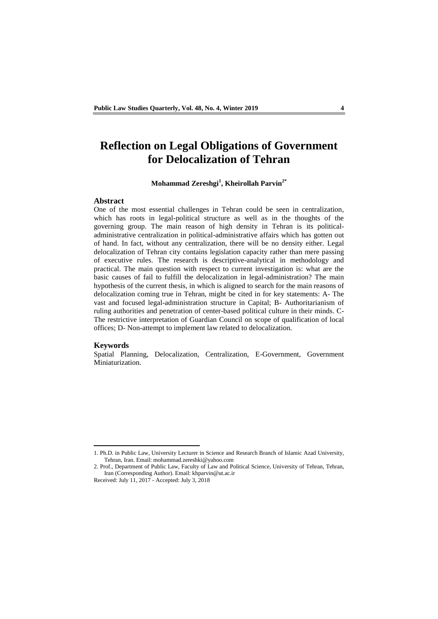## **Reflection on Legal Obligations of Government for Delocalization of Tehran**

## **Mohammad Zereshgi<sup>1</sup> , Kheirollah Parvin2\***

## **Abstract**

One of the most essential challenges in Tehran could be seen in centralization, which has roots in legal-political structure as well as in the thoughts of the governing group. The main reason of high density in Tehran is its politicaladministrative centralization in political-administrative affairs which has gotten out of hand. In fact, without any centralization, there will be no density either. Legal delocalization of Tehran city contains legislation capacity rather than mere passing of executive rules. The research is descriptive-analytical in methodology and practical. The main question with respect to current investigation is: what are the basic causes of fail to fulfill the delocalization in legal-administration? The main hypothesis of the current thesis, in which is aligned to search for the main reasons of delocalization coming true in Tehran, might be cited in for key statements: A- The vast and focused legal-administration structure in Capital; B- Authoritarianism of ruling authorities and penetration of center-based political culture in their minds. C-The restrictive interpretation of Guardian Council on scope of qualification of local offices; D- Non-attempt to implement law related to delocalization.

#### **Keywords**

1

Spatial Planning, Delocalization, Centralization, E-Government, Government Miniaturization.

<sup>1.</sup> Ph.D. in Public Law, University Lecturer in Science and Research Branch of Islamic Azad University, Tehran, Iran. Email: mohammad.zereshki@yahoo.com

<sup>2.</sup> Prof., Department of Public Law, Faculty of Law and Political Science, University of Tehran, Tehran, Iran (Corresponding Author). Email: khparvin@ut.ac.ir

Received: July 11, 2017 - Accepted: July 3, 2018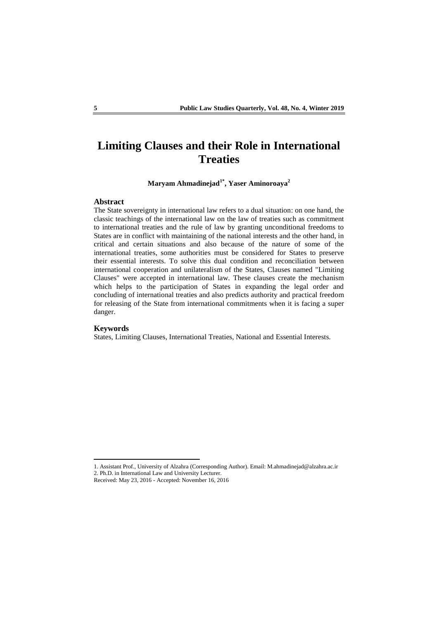# **Limiting Clauses and their Role in International Treaties**

**Maryam Ahmadinejad1\* , Yaser Aminoroaya<sup>2</sup>**

#### **Abstract**

The State sovereignty in international law refers to a dual situation: on one hand, the classic teachings of the international law on the law of treaties such as commitment to international treaties and the rule of law by granting unconditional freedoms to States are in conflict with maintaining of the national interests and the other hand, in critical and certain situations and also because of the nature of some of the international treaties, some authorities must be considered for States to preserve their essential interests. To solve this dual condition and reconciliation between international cooperation and unilateralism of the States, Clauses named "Limiting Clauses" were accepted in international law. These clauses create the mechanism which helps to the participation of States in expanding the legal order and concluding of international treaties and also predicts authority and practical freedom for releasing of the State from international commitments when it is facing a super danger.

## **Keywords**

 $\overline{a}$ 

States, Limiting Clauses, International Treaties, National and Essential Interests.

<sup>1.</sup> Assistant Prof., University of Alzahra (Corresponding Author). Email: M.ahmadinejad@alzahra.ac.ir

<sup>2.</sup> Ph.D. in International Law and University Lecturer.

Received: May 23, 2016 - Accepted: November 16, 2016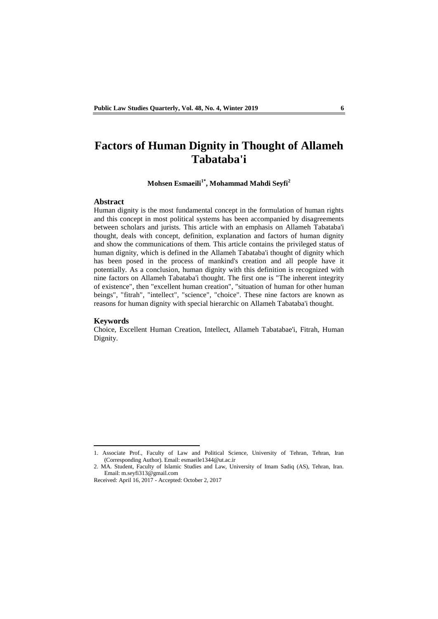## **Factors of Human Dignity in Thought of Allameh Tabataba'i**

**Mohsen Esmaeili1\* , Mohammad Mahdi Seyfi<sup>2</sup>**

#### **Abstract**

Human dignity is the most fundamental concept in the formulation of human rights and this concept in most political systems has been accompanied by disagreements between scholars and jurists. This article with an emphasis on Allameh Tabataba'i thought, deals with concept, definition, explanation and factors of human dignity and show the communications of them. This article contains the privileged status of human dignity, which is defined in the Allameh Tabataba'i thought of dignity which has been posed in the process of mankind's creation and all people have it potentially. As a conclusion, human dignity with this definition is recognized with nine factors on Allameh Tabataba'i thought. The first one is "The inherent integrity of existence", then "excellent human creation", "situation of human for other human beings", "fitrah", "intellect", "science", "choice". These nine factors are known as reasons for human dignity with special hierarchic on Allameh Tabataba'i thought.

#### **Keywords**

1

Choice, Excellent Human Creation, Intellect, Allameh Tabatabae'i, Fitrah, Human Dignity.

<sup>1.</sup> Associate Prof., Faculty of Law and Political Science, University of Tehran, Tehran, Iran (Corresponding Author). Email: esmaeile1344@ut.ac.ir

<sup>2.</sup> MA. Student, Faculty of Islamic Studies and Law, University of Imam Sadiq (AS), Tehran, Iran. Email: m.seyfi313@gmail.com

Received: April 16, 2017 - Accepted: October 2, 2017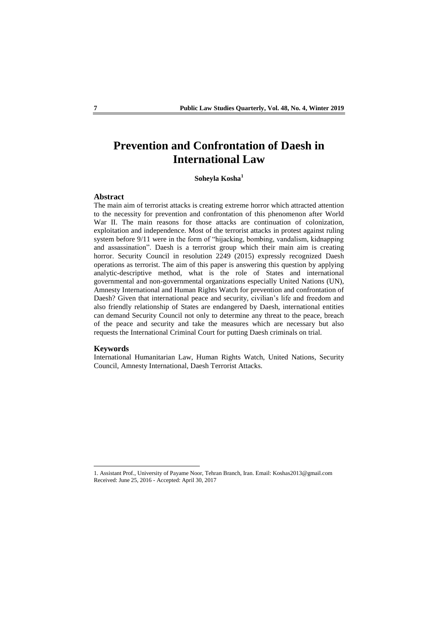# **Prevention and Confrontation of Daesh in International Law**

**Soheyla Kosha<sup>1</sup>**

## **Abstract**

The main aim of terrorist attacks is creating extreme horror which attracted attention to the necessity for prevention and confrontation of this phenomenon after World War II. The main reasons for those attacks are continuation of colonization, exploitation and independence. Most of the terrorist attacks in protest against ruling system before 9/11 were in the form of "hijacking, bombing, vandalism, kidnapping and assassination". Daesh is a terrorist group which their main aim is creating horror. Security Council in resolution 2249 (2015) expressly recognized Daesh operations as terrorist. The aim of this paper is answering this question by applying analytic-descriptive method, what is the role of States and international governmental and non-governmental organizations especially United Nations (UN), Amnesty International and Human Rights Watch for prevention and confrontation of Daesh? Given that international peace and security, civilian's life and freedom and also friendly relationship of States are endangered by Daesh, international entities can demand Security Council not only to determine any threat to the peace, breach of the peace and security and take the measures which are necessary but also requests the International Criminal Court for putting Daesh criminals on trial.

#### **Keywords**

**.** 

International Humanitarian Law, Human Rights Watch, United Nations, Security Council, Amnesty International, Daesh Terrorist Attacks.

<sup>1.</sup> Assistant Prof., University of Payame Noor, Tehran Branch, Iran. Email: Koshas2013@gmail.com Received: June 25, 2016 - Accepted: April 30, 2017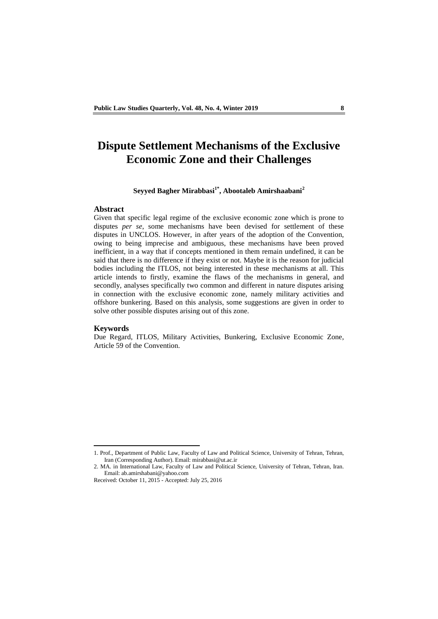## **Dispute Settlement Mechanisms of the Exclusive Economic Zone and their Challenges**

## **Seyyed Bagher Mirabbasi1\* , Abootaleb Amirshaabani<sup>2</sup>**

### **Abstract**

Given that specific legal regime of the exclusive economic zone which is prone to disputes *per se*, some mechanisms have been devised for settlement of these disputes in UNCLOS. However, in after years of the adoption of the Convention, owing to being imprecise and ambiguous, these mechanisms have been proved inefficient, in a way that if concepts mentioned in them remain undefined, it can be said that there is no difference if they exist or not. Maybe it is the reason for judicial bodies including the ITLOS, not being interested in these mechanisms at all. This article intends to firstly, examine the flaws of the mechanisms in general, and secondly, analyses specifically two common and different in nature disputes arising in connection with the exclusive economic zone, namely military activities and offshore bunkering. Based on this analysis, some suggestions are given in order to solve other possible disputes arising out of this zone.

## **Keywords**

1

Due Regard, ITLOS, Military Activities, Bunkering, Exclusive Economic Zone, Article 59 of the Convention.

<sup>1.</sup> Prof., Department of Public Law, Faculty of Law and Political Science, University of Tehran, Tehran, Iran (Corresponding Author). Email: mirabbasi@ut.ac.ir

<sup>2.</sup> MA. in International Law, Faculty of Law and Political Science, University of Tehran, Tehran, Iran. Email: ab.amirshabani@yahoo.com

Received: October 11, 2015 - Accepted: July 25, 2016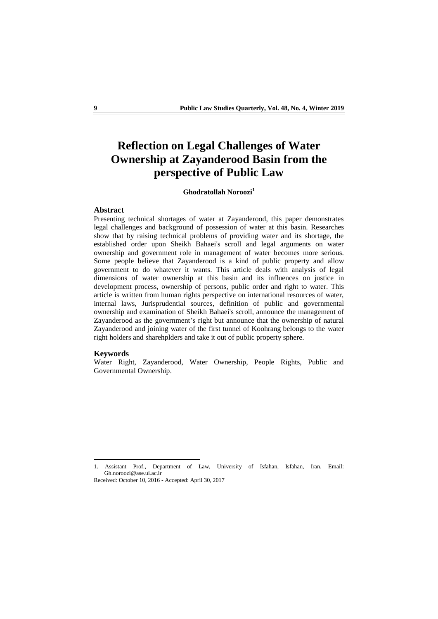# **Reflection on Legal Challenges of Water Ownership at Zayanderood Basin from the perspective of Public Law**

## **Ghodratollah Noroozi<sup>1</sup>**

### **Abstract**

Presenting technical shortages of water at Zayanderood, this paper demonstrates legal challenges and background of possession of water at this basin. Researches show that by raising technical problems of providing water and its shortage, the established order upon Sheikh Bahaei's scroll and legal arguments on water ownership and government role in management of water becomes more serious. Some people believe that Zayanderood is a kind of public property and allow government to do whatever it wants. This article deals with analysis of legal dimensions of water ownership at this basin and its influences on justice in development process, ownership of persons, public order and right to water. This article is written from human rights perspective on international resources of water, internal laws, Jurisprudential sources, definition of public and governmental ownership and examination of Sheikh Bahaei's scroll, announce the management of Zayanderood as the government's right but announce that the ownership of natural Zayanderood and joining water of the first tunnel of Koohrang belongs to the water right holders and sharehplders and take it out of public property sphere.

#### **Keywords**

 $\overline{a}$ 

Water Right, Zayanderood, Water Ownership, People Rights, Public and Governmental Ownership.

<sup>1.</sup> Assistant Prof., Department of Law, University of Isfahan, Isfahan, Iran. Email: Gh.noroozi@ase.ui.ac.ir

Received: October 10, 2016 - Accepted: April 30, 2017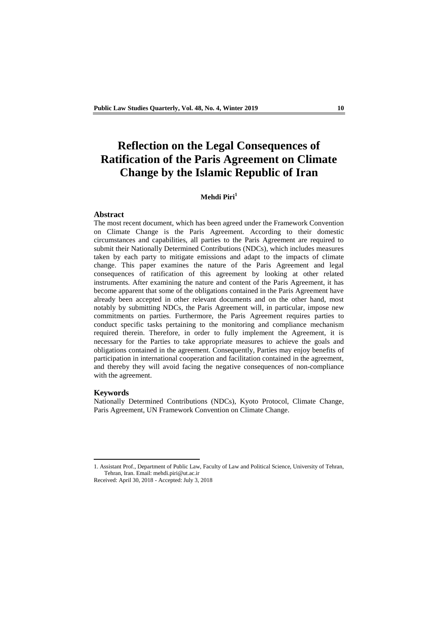# **Reflection on the Legal Consequences of Ratification of the Paris Agreement on Climate Change by the Islamic Republic of Iran**

## **Mehdi Piri<sup>1</sup>**

### **Abstract**

The most recent document, which has been agreed under the Framework Convention on Climate Change is the Paris Agreement. According to their domestic circumstances and capabilities, all parties to the Paris Agreement are required to submit their Nationally Determined Contributions (NDCs), which includes measures taken by each party to mitigate emissions and adapt to the impacts of climate change. This paper examines the nature of the Paris Agreement and legal consequences of ratification of this agreement by looking at other related instruments. After examining the nature and content of the Paris Agreement, it has become apparent that some of the obligations contained in the Paris Agreement have already been accepted in other relevant documents and on the other hand, most notably by submitting NDCs, the Paris Agreement will, in particular, impose new commitments on parties. Furthermore, the Paris Agreement requires parties to conduct specific tasks pertaining to the monitoring and compliance mechanism required therein. Therefore, in order to fully implement the Agreement, it is necessary for the Parties to take appropriate measures to achieve the goals and obligations contained in the agreement. Consequently, Parties may enjoy benefits of participation in international cooperation and facilitation contained in the agreement, and thereby they will avoid facing the negative consequences of non-compliance with the agreement.

#### **Keywords**

 $\overline{a}$ 

Nationally Determined Contributions (NDCs), Kyoto Protocol, Climate Change, Paris Agreement, UN Framework Convention on Climate Change.

<sup>1.</sup> Assistant Prof., Department of Public Law, Faculty of Law and Political Science, University of Tehran, Tehran, Iran. Email: mehdi.piri@ut.ac.ir

Received: April 30, 2018 - Accepted: July 3, 2018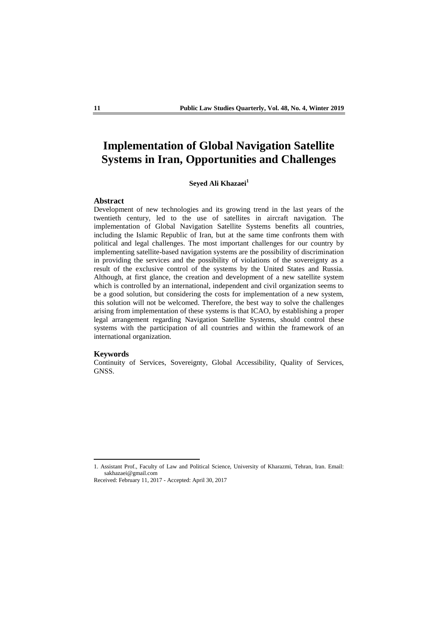## **Implementation of Global Navigation Satellite Systems in Iran, Opportunities and Challenges**

## **Seyed Ali Khazaei<sup>1</sup>**

## **Abstract**

Development of new technologies and its growing trend in the last years of the twentieth century, led to the use of satellites in aircraft navigation. The implementation of Global Navigation Satellite Systems benefits all countries, including the Islamic Republic of Iran, but at the same time confronts them with political and legal challenges. The most important challenges for our country by implementing satellite-based navigation systems are the possibility of discrimination in providing the services and the possibility of violations of the sovereignty as a result of the exclusive control of the systems by the United States and Russia. Although, at first glance, the creation and development of a new satellite system which is controlled by an international, independent and civil organization seems to be a good solution, but considering the costs for implementation of a new system, this solution will not be welcomed. Therefore, the best way to solve the challenges arising from implementation of these systems is that ICAO, by establishing a proper legal arrangement regarding Navigation Satellite Systems, should control these systems with the participation of all countries and within the framework of an international organization.

### **Keywords**

 $\overline{a}$ 

Continuity of Services, Sovereignty, Global Accessibility, Quality of Services, GNSS.

<sup>1.</sup> Assistant Prof., Faculty of Law and Political Science, University of Kharazmi, Tehran, Iran. Email: sakhazaei@gmail.com

Received: February 11, 2017 - Accepted: April 30, 2017